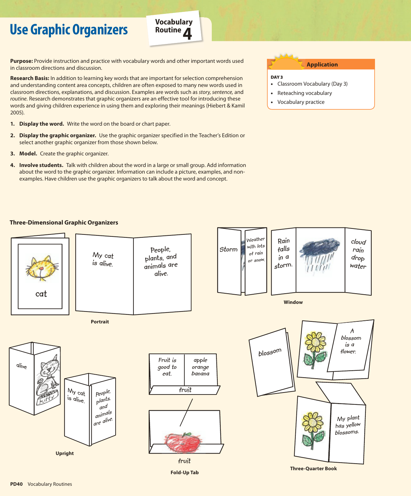## **Use Graphic Organizers**



**Purpose:** Provide instruction and practice with vocabulary words and other important words used in classroom directions and discussion.

**Research Basis:** In addition to learning key words that are important for selection comprehension and understanding content area concepts, children are often exposed to many new words used in classroom directions, explanations, and discussion. Examples are words such as *story, sentence,* and *routine.* Research demonstrates that graphic organizers are an effective tool for introducing these words and giving children experience in using them and exploring their meanings (Hiebert & Kamil 2005).

- **1. Display the word.** Write the word on the board or chart paper.
- **2. Display the graphic organizer.** Use the graphic organizer specified in the Teacher's Edition or select another graphic organizer from those shown below.
- **3. Model.** Create the graphic organizer.
- **4. Involve students.** Talk with children about the word in a large or small group. Add information about the word to the graphic organizer. Information can include a picture, examples, and nonexamples. Have children use the graphic organizers to talk about the word and concept.

## **Three-Dimensional Graphic Organizers**



•Vocabulary practice